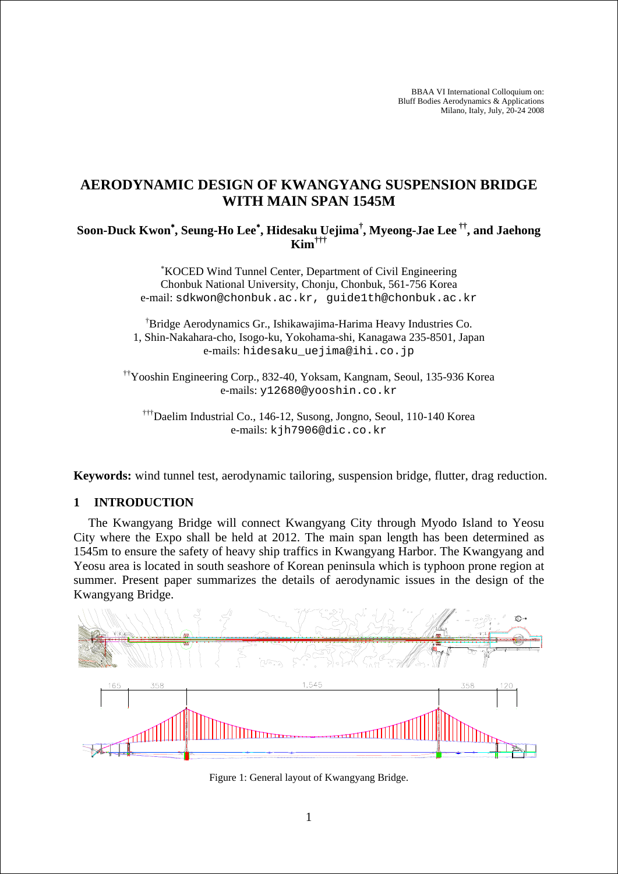BBAA VI International Colloquium on: Bluff Bodies Aerodynamics & Applications Milano, Italy, July, 20-24 2008

# **AERODYNAMIC DESIGN OF KWANGYANG SUSPENSION BRIDGE WITH MAIN SPAN 1545M**

## **Soon-Duck Kwon**<sup>∗</sup> **, Seung-Ho Lee**<sup>∗</sup> **, Hidesaku Uejima† , Myeong-Jae Lee ††, and Jaehong Kim†††**

∗ KOCED Wind Tunnel Center, Department of Civil Engineering Chonbuk National University, Chonju, Chonbuk, 561-756 Korea e-mail: sdkwon@chonbuk.ac.kr, guide1th@chonbuk.ac.kr

† Bridge Aerodynamics Gr., Ishikawajima-Harima Heavy Industries Co. 1, Shin-Nakahara-cho, Isogo-ku, Yokohama-shi, Kanagawa 235-8501, Japan e-mails: hidesaku\_uejima@ihi.co.jp

††Yooshin Engineering Corp., 832-40, Yoksam, Kangnam, Seoul, 135-936 Korea e-mails: y12680@yooshin.co.kr

†††Daelim Industrial Co., 146-12, Susong, Jongno, Seoul, 110-140 Korea e-mails: kjh7906@dic.co.kr

**Keywords:** wind tunnel test, aerodynamic tailoring, suspension bridge, flutter, drag reduction.

#### **1 INTRODUCTION**

The Kwangyang Bridge will connect Kwangyang City through Myodo Island to Yeosu City where the Expo shall be held at 2012. The main span length has been determined as 1545m to ensure the safety of heavy ship traffics in Kwangyang Harbor. The Kwangyang and Yeosu area is located in south seashore of Korean peninsula which is typhoon prone region at summer. Present paper summarizes the details of aerodynamic issues in the design of the Kwangyang Bridge.



Figure 1: General layout of Kwangyang Bridge.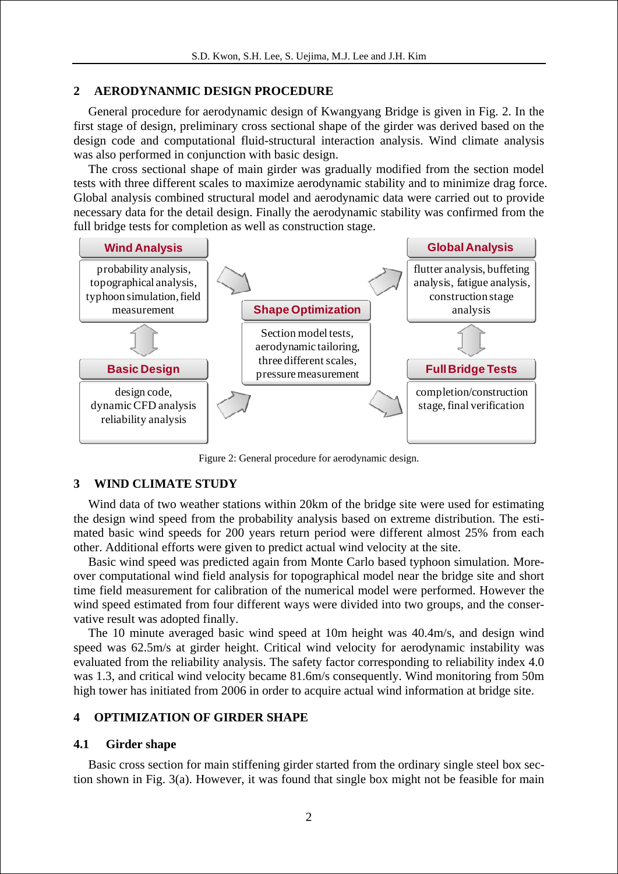### **2 AERODYNANMIC DESIGN PROCEDURE**

General procedure for aerodynamic design of Kwangyang Bridge is given in Fig. 2. In the first stage of design, preliminary cross sectional shape of the girder was derived based on the design code and computational fluid-structural interaction analysis. Wind climate analysis was also performed in conjunction with basic design.

The cross sectional shape of main girder was gradually modified from the section model tests with three different scales to maximize aerodynamic stability and to minimize drag force. Global analysis combined structural model and aerodynamic data were carried out to provide necessary data for the detail design. Finally the aerodynamic stability was confirmed from the full bridge tests for completion as well as construction stage.



Figure 2: General procedure for aerodynamic design.

#### **3 WIND CLIMATE STUDY**

Wind data of two weather stations within 20km of the bridge site were used for estimating the design wind speed from the probability analysis based on extreme distribution. The estimated basic wind speeds for 200 years return period were different almost 25% from each other. Additional efforts were given to predict actual wind velocity at the site.

Basic wind speed was predicted again from Monte Carlo based typhoon simulation. Moreover computational wind field analysis for topographical model near the bridge site and short time field measurement for calibration of the numerical model were performed. However the wind speed estimated from four different ways were divided into two groups, and the conservative result was adopted finally.

The 10 minute averaged basic wind speed at 10m height was 40.4m/s, and design wind speed was 62.5m/s at girder height. Critical wind velocity for aerodynamic instability was evaluated from the reliability analysis. The safety factor corresponding to reliability index 4.0 was 1.3, and critical wind velocity became 81.6m/s consequently. Wind monitoring from 50m high tower has initiated from 2006 in order to acquire actual wind information at bridge site.

## **4 OPTIMIZATION OF GIRDER SHAPE**

#### **4.1 Girder shape**

Basic cross section for main stiffening girder started from the ordinary single steel box section shown in Fig. 3(a). However, it was found that single box might not be feasible for main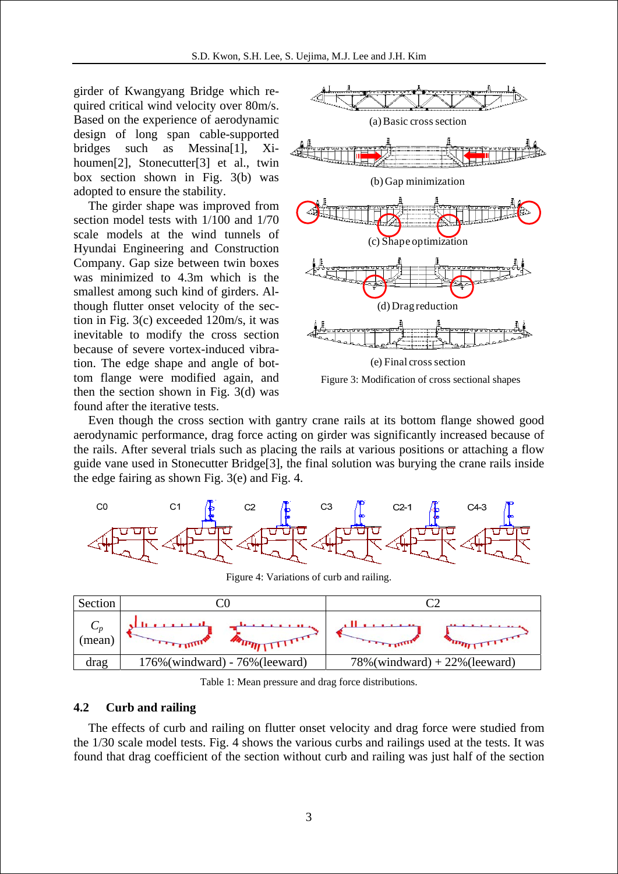girder of Kwangyang Bridge which required critical wind velocity over 80m/s. Based on the experience of aerodynamic design of long span cable-supported bridges such as Messina[1], Xihoumen<sup>[2]</sup>, Stonecutter<sup>[3]</sup> et al., twin box section shown in Fig. 3(b) was adopted to ensure the stability.

The girder shape was improved from section model tests with 1/100 and 1/70 scale models at the wind tunnels of Hyundai Engineering and Construction Company. Gap size between twin boxes was minimized to 4.3m which is the smallest among such kind of girders. Although flutter onset velocity of the section in Fig. 3(c) exceeded 120m/s, it was inevitable to modify the cross section because of severe vortex-induced vibration. The edge shape and angle of bottom flange were modified again, and then the section shown in Fig. 3(d) was found after the iterative tests.



Figure 3: Modification of cross sectional shapes

Even though the cross section with gantry crane rails at its bottom flange showed good aerodynamic performance, drag force acting on girder was significantly increased because of the rails. After several trials such as placing the rails at various positions or attaching a flow guide vane used in Stonecutter Bridge[3], the final solution was burying the crane rails inside the edge fairing as shown Fig. 3(e) and Fig. 4.





Table 1: Mean pressure and drag force distributions.

## **4.2 Curb and railing**

The effects of curb and railing on flutter onset velocity and drag force were studied from the 1/30 scale model tests. Fig. 4 shows the various curbs and railings used at the tests. It was found that drag coefficient of the section without curb and railing was just half of the section